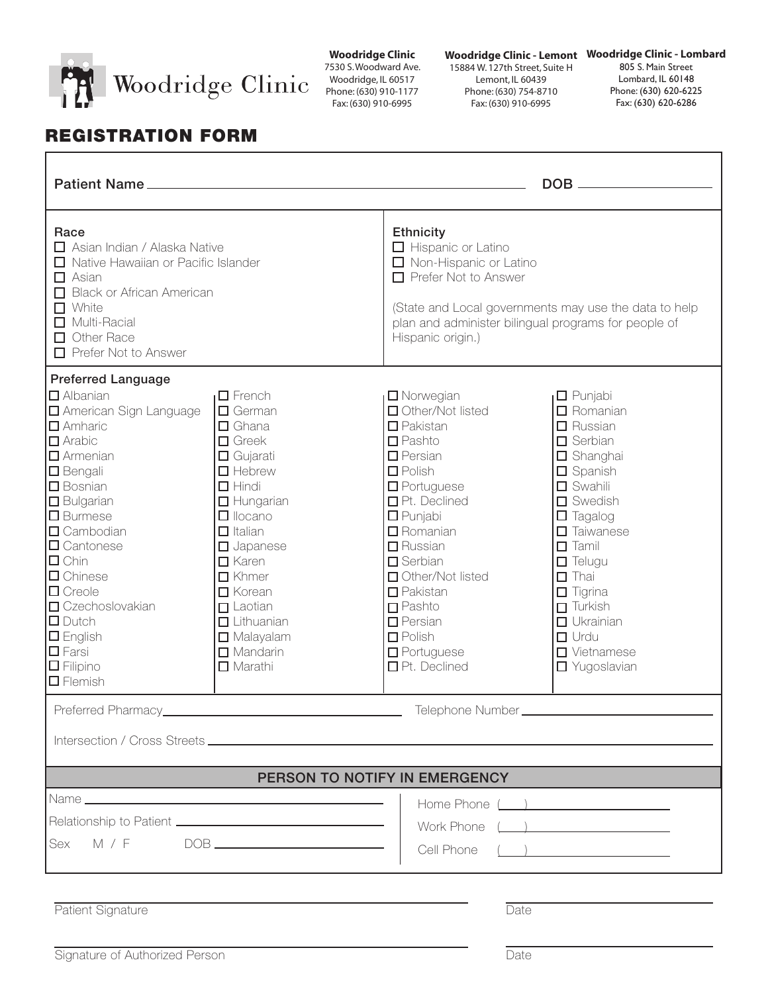

**Woodridge Clinic** 7530 S. Woodward Ave. Woodridge, IL 60517 Phone: (630) 910-1177 Fax: (630) 910-6995

**Woodridge Clinic - Lombard Woodridge Clinic - Lemont**

15884 W. 127th Street, Suite H Lemont, IL 60439 Phone: (630) 754-8710 Fax: (630) 910-6995

805 S. Main Street Lombard, IL 60148 Phone: (630) 620-6225 Fax: (630) 620-6286

## REGISTRATION FORM

r

| <b>Patient Name_</b>                                                                                                                                                                                                                                                                                                                                                                                                                                  |                                                                                                                                                                                                                                                                                                                                                |                                                                                                                                                                                                                                                                                                                                                                               |                                                                                                                                                                                                                                                                                                                                                                     |  |  |  |  |
|-------------------------------------------------------------------------------------------------------------------------------------------------------------------------------------------------------------------------------------------------------------------------------------------------------------------------------------------------------------------------------------------------------------------------------------------------------|------------------------------------------------------------------------------------------------------------------------------------------------------------------------------------------------------------------------------------------------------------------------------------------------------------------------------------------------|-------------------------------------------------------------------------------------------------------------------------------------------------------------------------------------------------------------------------------------------------------------------------------------------------------------------------------------------------------------------------------|---------------------------------------------------------------------------------------------------------------------------------------------------------------------------------------------------------------------------------------------------------------------------------------------------------------------------------------------------------------------|--|--|--|--|
| Race<br>□ Asian Indian / Alaska Native<br>Native Hawaiian or Pacific Islander<br>$\Box$ Asian<br>Black or African American<br>$\Box$ White<br>Multi-Racial<br>Other Race<br>Prefer Not to Answer                                                                                                                                                                                                                                                      |                                                                                                                                                                                                                                                                                                                                                | <b>Ethnicity</b><br>$\Box$ Hispanic or Latino<br>Non-Hispanic or Latino<br>Prefer Not to Answer<br>(State and Local governments may use the data to help<br>plan and administer bilingual programs for people of<br>Hispanic origin.)                                                                                                                                         |                                                                                                                                                                                                                                                                                                                                                                     |  |  |  |  |
| <b>Preferred Language</b><br>$\Box$ Albanian<br><b>D</b> American Sign Language<br>$\square$ Amharic<br>$\Box$ Arabic<br>$\square$ Armenian<br>$\Box$ Bengali<br>$\square$ Bosnian<br>$\square$ Bulgarian<br>$\square$ Burmese<br>$\square$ Cambodian<br>$\Box$ Cantonese<br>$\square$ Chin<br>$\Box$ Chinese<br>$\square$ Creole<br>$\Box$ Czechoslovakian<br>$\Box$ Dutch<br>$\Box$ English<br>$\square$ Farsi<br>$\Box$ Filipino<br>$\Box$ Flemish | $\Box$ French<br>$\Box$ German<br>$\Box$ Ghana<br>$\Box$ Greek<br>$\Box$ Gujarati<br>$\Box$ Hebrew<br>$\Box$ Hindi<br>$\Box$ Hungarian<br>$\Box$ Ilocano<br>$\Box$ Italian<br>$\Box$ Japanese<br>$\Box$ Karen<br>$\Box$ Khmer<br>$\Box$ Korean<br>$\Box$ Laotian<br>$\Box$ Lithuanian<br>$\Box$ Malayalam<br>$\Box$ Mandarin<br>$\Box$ Marathi | $\Box$ Norwegian<br>□ Other/Not listed<br>$\Box$ Pakistan<br>$\square$ Pashto<br>$\Box$ Persian<br>$\Box$ Polish<br>$\Box$ Portuguese<br>□ Pt. Declined<br>$\Box$ Punjabi<br>$\Box$ Romanian<br>$\Box$ Russian<br>$\square$ Serbian<br>□ Other/Not listed<br>$\Box$ Pakistan<br>$\square$ Pashto<br>$\Box$ Persian<br>$\square$ Polish<br>$\Box$ Portuguese<br>□ Pt. Declined | $\Box$ Punjabi<br>$\Box$ Romanian<br>$\Box$ Russian<br>$\square$ Serbian<br>$\Box$ Shanghai<br>$\square$ Spanish<br>$\square$ Swahili<br>$\square$ Swedish<br>$\square$ Tagalog<br>$\Box$ Taiwanese<br>$\square$ Tamil<br>$\Box$ Telugu<br>$\Box$ Thai<br>$\Box$ Tigrina<br>$\Box$ Turkish<br>$\Box$ Ukrainian<br>$\Box$ Urdu<br>$\Box$ Vietnamese<br>□ Yugoslavian |  |  |  |  |
| Preferred Pharmacy_<br>Telephone Number __________                                                                                                                                                                                                                                                                                                                                                                                                    |                                                                                                                                                                                                                                                                                                                                                |                                                                                                                                                                                                                                                                                                                                                                               |                                                                                                                                                                                                                                                                                                                                                                     |  |  |  |  |
|                                                                                                                                                                                                                                                                                                                                                                                                                                                       |                                                                                                                                                                                                                                                                                                                                                |                                                                                                                                                                                                                                                                                                                                                                               |                                                                                                                                                                                                                                                                                                                                                                     |  |  |  |  |
| PERSON TO NOTIFY IN EMERGENCY                                                                                                                                                                                                                                                                                                                                                                                                                         |                                                                                                                                                                                                                                                                                                                                                |                                                                                                                                                                                                                                                                                                                                                                               |                                                                                                                                                                                                                                                                                                                                                                     |  |  |  |  |
|                                                                                                                                                                                                                                                                                                                                                                                                                                                       |                                                                                                                                                                                                                                                                                                                                                |                                                                                                                                                                                                                                                                                                                                                                               |                                                                                                                                                                                                                                                                                                                                                                     |  |  |  |  |
|                                                                                                                                                                                                                                                                                                                                                                                                                                                       |                                                                                                                                                                                                                                                                                                                                                |                                                                                                                                                                                                                                                                                                                                                                               | Work Phone ( )                                                                                                                                                                                                                                                                                                                                                      |  |  |  |  |
| M / F<br>Sex                                                                                                                                                                                                                                                                                                                                                                                                                                          |                                                                                                                                                                                                                                                                                                                                                | Cell Phone                                                                                                                                                                                                                                                                                                                                                                    | $\overline{\phantom{a}}$                                                                                                                                                                                                                                                                                                                                            |  |  |  |  |
| Patient Signature<br>Date                                                                                                                                                                                                                                                                                                                                                                                                                             |                                                                                                                                                                                                                                                                                                                                                |                                                                                                                                                                                                                                                                                                                                                                               |                                                                                                                                                                                                                                                                                                                                                                     |  |  |  |  |
| Signature of Authorized Person<br>Date                                                                                                                                                                                                                                                                                                                                                                                                                |                                                                                                                                                                                                                                                                                                                                                |                                                                                                                                                                                                                                                                                                                                                                               |                                                                                                                                                                                                                                                                                                                                                                     |  |  |  |  |